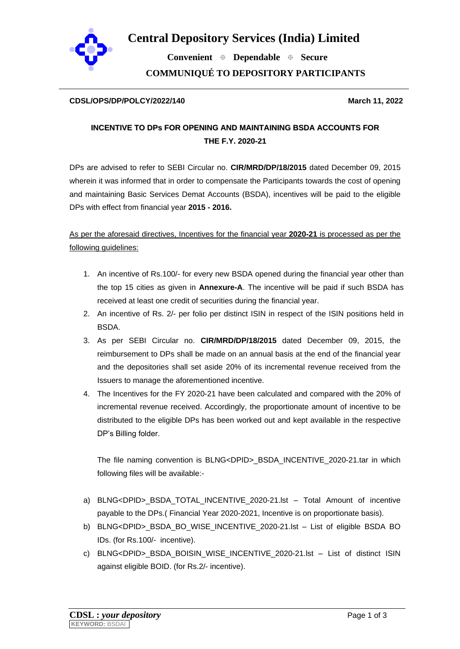

 **Convenient Dependable Secure COMMUNIQUÉ TO DEPOSITORY PARTICIPANTS**

### **CDSL/OPS/DP/POLCY/2022/140 March 11, 2022**

# **INCENTIVE TO DPs FOR OPENING AND MAINTAINING BSDA ACCOUNTS FOR THE F.Y. 2020-21**

DPs are advised to refer to SEBI Circular no. **CIR/MRD/DP/18/2015** dated December 09, 2015 wherein it was informed that in order to compensate the Participants towards the cost of opening and maintaining Basic Services Demat Accounts (BSDA), incentives will be paid to the eligible DPs with effect from financial year **2015 - 2016.**

## As per the aforesaid directives, Incentives for the financial year **2020-21** is processed as per the following guidelines:

- 1. An incentive of Rs.100/- for every new BSDA opened during the financial year other than the top 15 cities as given in **Annexure-A**. The incentive will be paid if such BSDA has received at least one credit of securities during the financial year.
- 2. An incentive of Rs. 2/- per folio per distinct ISIN in respect of the ISIN positions held in BSDA.
- 3. As per SEBI Circular no. **CIR/MRD/DP/18/2015** dated December 09, 2015, the reimbursement to DPs shall be made on an annual basis at the end of the financial year and the depositories shall set aside 20% of its incremental revenue received from the Issuers to manage the aforementioned incentive.
- 4. The Incentives for the FY 2020-21 have been calculated and compared with the 20% of incremental revenue received. Accordingly, the proportionate amount of incentive to be distributed to the eligible DPs has been worked out and kept available in the respective DP's Billing folder.

The file naming convention is BLNG<DPID> BSDA\_INCENTIVE\_2020-21.tar in which following files will be available:-

- a) BLNG<DPID>\_BSDA\_TOTAL\_INCENTIVE\_2020-21.lst Total Amount of incentive payable to the DPs.( Financial Year 2020-2021, Incentive is on proportionate basis).
- b) BLNG<DPID>\_BSDA\_BO\_WISE\_INCENTIVE\_2020-21.lst List of eligible BSDA BO IDs. (for Rs.100/- incentive).
- c) BLNG<DPID> BSDA\_BOISIN\_WISE\_INCENTIVE\_2020-21.lst List of distinct ISIN against eligible BOID. (for Rs.2/- incentive).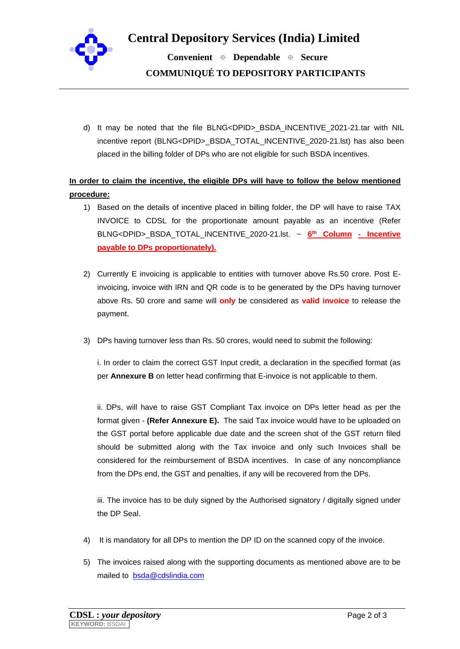

 **Convenient Dependable Secure COMMUNIQUÉ TO DEPOSITORY PARTICIPANTS**

d) It may be noted that the file BLNG<DPID>\_BSDA\_INCENTIVE\_2021-21.tar with NIL incentive report (BLNG<DPID> BSDA\_TOTAL\_INCENTIVE\_2020-21.lst) has also been placed in the billing folder of DPs who are not eligible for such BSDA incentives.

**In order to claim the incentive, the eligible DPs will have to follow the below mentioned procedure:**

- 1) Based on the details of incentive placed in billing folder, the DP will have to raise TAX INVOICE to CDSL for the proportionate amount payable as an incentive (Refer BLNG<DPID>\_BSDA\_TOTAL\_INCENTIVE\_2020-21.lst. ~ **6 th Column - Incentive payable to DPs proportionately).**
- 2) Currently E invoicing is applicable to entities with turnover above Rs.50 crore. Post Einvoicing, invoice with IRN and QR code is to be generated by the DPs having turnover above Rs. 50 crore and same will **only** be considered as **valid invoice** to release the payment.
- 3) DPs having turnover less than Rs. 50 crores, would need to submit the following:

i. In order to claim the correct GST Input credit, a declaration in the specified format (as per **Annexure B** on letter head confirming that E-invoice is not applicable to them.

ii. DPs, will have to raise GST Compliant Tax invoice on DPs letter head as per the format given - **(Refer Annexure E).** The said Tax invoice would have to be uploaded on the GST portal before applicable due date and the screen shot of the GST return filed should be submitted along with the Tax invoice and only such Invoices shall be considered for the reimbursement of BSDA incentives. In case of any noncompliance from the DPs end, the GST and penalties, if any will be recovered from the DPs.

iii. The invoice has to be duly signed by the Authorised signatory / digitally signed under the DP Seal.

- 4) It is mandatory for all DPs to mention the DP ID on the scanned copy of the invoice.
- 5) The invoices raised along with the supporting documents as mentioned above are to be mailed to [bsda@cdslindia.com](mailto:bsda@cdslindia.com)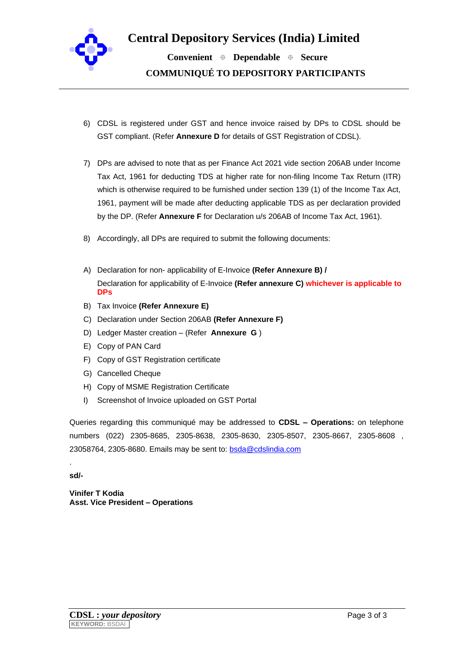

**Central Depository Services (India) Limited**

 **Convenient Dependable Secure COMMUNIQUÉ TO DEPOSITORY PARTICIPANTS**

- 6) CDSL is registered under GST and hence invoice raised by DPs to CDSL should be GST compliant. (Refer **Annexure D** for details of GST Registration of CDSL).
- 7) DPs are advised to note that as per Finance Act 2021 vide section 206AB under Income Tax Act, 1961 for deducting TDS at higher rate for non-filing Income Tax Return (ITR) which is otherwise required to be furnished under section 139 (1) of the Income Tax Act, 1961, payment will be made after deducting applicable TDS as per declaration provided by the DP. (Refer **Annexure F** for Declaration u/s 206AB of Income Tax Act, 1961).
- 8) Accordingly, all DPs are required to submit the following documents:
- A) Declaration for non- applicability of E-Invoice **(Refer Annexure B) /**  Declaration for applicability of E-Invoice **(Refer annexure C) whichever is applicable to DPs**
- B) Tax Invoice **(Refer Annexure E)**
- C) Declaration under Section 206AB **(Refer Annexure F)**
- D) Ledger Master creation (Refer **Annexure G** )
- E) Copy of PAN Card
- F) Copy of GST Registration certificate
- G) Cancelled Cheque
- H) Copy of MSME Registration Certificate
- I) Screenshot of Invoice uploaded on GST Portal

Queries regarding this communiqué may be addressed to **CDSL – Operations:** on telephone numbers (022) 2305-8685, 2305-8638, 2305-8630, 2305-8507, 2305-8667, 2305-8608 , 23058764, 2305-8680. Emails may be sent to: **bsda@cdslindia.com** 

**sd/-**

.

**Vinifer T Kodia Asst. Vice President – Operations**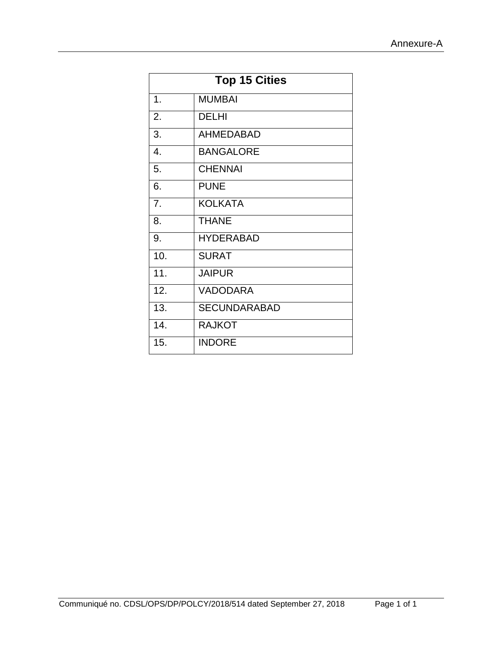| <b>Top 15 Cities</b> |                     |  |  |  |  |  |  |  |
|----------------------|---------------------|--|--|--|--|--|--|--|
| 1.                   | <b>MUMBAI</b>       |  |  |  |  |  |  |  |
| 2.                   | <b>DELHI</b>        |  |  |  |  |  |  |  |
| 3.                   | <b>AHMEDABAD</b>    |  |  |  |  |  |  |  |
| 4.                   | <b>BANGALORE</b>    |  |  |  |  |  |  |  |
| 5.                   | <b>CHENNAI</b>      |  |  |  |  |  |  |  |
| 6.                   | <b>PUNE</b>         |  |  |  |  |  |  |  |
| 7.                   | <b>KOLKATA</b>      |  |  |  |  |  |  |  |
| 8.                   | <b>THANE</b>        |  |  |  |  |  |  |  |
| 9.                   | <b>HYDERABAD</b>    |  |  |  |  |  |  |  |
| 10.                  | <b>SURAT</b>        |  |  |  |  |  |  |  |
| 11.                  | <b>JAIPUR</b>       |  |  |  |  |  |  |  |
| 12.                  | <b>VADODARA</b>     |  |  |  |  |  |  |  |
| 13.                  | <b>SECUNDARABAD</b> |  |  |  |  |  |  |  |
| 14.                  | <b>RAJKOT</b>       |  |  |  |  |  |  |  |
| 15.                  | <b>INDORE</b>       |  |  |  |  |  |  |  |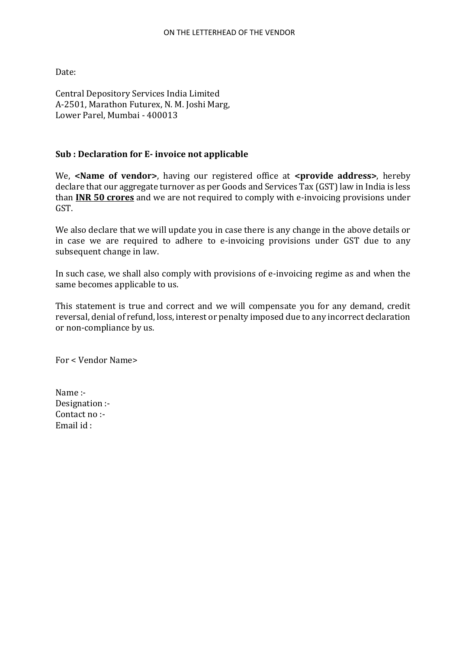Date:

Central Depository Services India Limited A-2501, Marathon Futurex, N. M. Joshi Marg, Lower Parel, Mumbai - 400013

### **Sub : Declaration for E- invoice not applicable**

We, **<Name of vendor>**, having our registered office at **<provide address>**, hereby declare that our aggregate turnover as per Goods and Services Tax (GST) law in India is less than **INR 50 crores** and we are not required to comply with e-invoicing provisions under GST.

We also declare that we will update you in case there is any change in the above details or in case we are required to adhere to e-invoicing provisions under GST due to any subsequent change in law.

In such case, we shall also comply with provisions of e-invoicing regime as and when the same becomes applicable to us.

This statement is true and correct and we will compensate you for any demand, credit reversal, denial of refund, loss, interest or penalty imposed due to any incorrect declaration or non-compliance by us.

For < Vendor Name>

Name :- Designation :- Contact no :- Email id :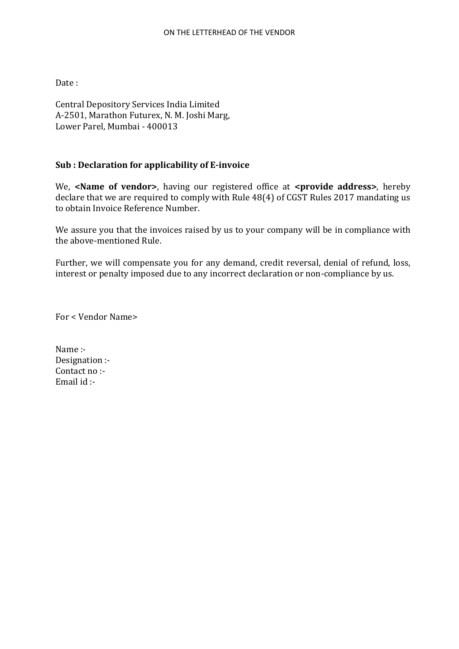Date :

Central Depository Services India Limited A-2501, Marathon Futurex, N. M. Joshi Marg, Lower Parel, Mumbai - 400013

### **Sub : Declaration for applicability of E-invoice**

We, **<Name of vendor>**, having our registered office at **<provide address>**, hereby declare that we are required to comply with Rule 48(4) of CGST Rules 2017 mandating us to obtain Invoice Reference Number.

We assure you that the invoices raised by us to your company will be in compliance with the above-mentioned Rule.

Further, we will compensate you for any demand, credit reversal, denial of refund, loss, interest or penalty imposed due to any incorrect declaration or non-compliance by us.

For < Vendor Name>

Name :- Designation :- Contact no :- Email id :-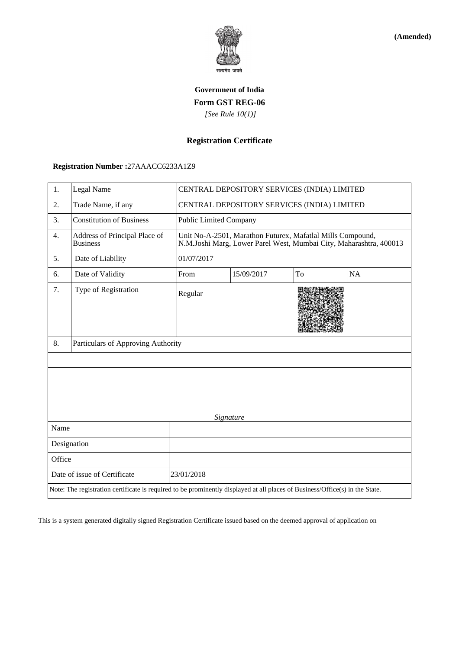

**(Amended)**

## **Government of India Form GST REG-06**  *[See Rule 10(1)]*

### **Registration Certificate**

## **Registration Number :**27AAACC6233A1Z9

| Legal Name<br>1.                                                                                                             |                                    |            | CENTRAL DEPOSITORY SERVICES (INDIA) LIMITED                                                                                      |    |    |  |  |  |  |  |  |
|------------------------------------------------------------------------------------------------------------------------------|------------------------------------|------------|----------------------------------------------------------------------------------------------------------------------------------|----|----|--|--|--|--|--|--|
| 2.<br>Trade Name, if any                                                                                                     |                                    |            | CENTRAL DEPOSITORY SERVICES (INDIA) LIMITED                                                                                      |    |    |  |  |  |  |  |  |
| 3.                                                                                                                           | <b>Constitution of Business</b>    |            | <b>Public Limited Company</b>                                                                                                    |    |    |  |  |  |  |  |  |
| Address of Principal Place of<br>4.<br><b>Business</b>                                                                       |                                    |            | Unit No-A-2501, Marathon Futurex, Mafatlal Mills Compound,<br>N.M.Joshi Marg, Lower Parel West, Mumbai City, Maharashtra, 400013 |    |    |  |  |  |  |  |  |
| 5.                                                                                                                           | Date of Liability                  | 01/07/2017 |                                                                                                                                  |    |    |  |  |  |  |  |  |
| 6.                                                                                                                           | Date of Validity                   | From       | 15/09/2017                                                                                                                       | To | NA |  |  |  |  |  |  |
| 7.                                                                                                                           | Type of Registration               | Regular    |                                                                                                                                  |    |    |  |  |  |  |  |  |
| 8.                                                                                                                           | Particulars of Approving Authority |            |                                                                                                                                  |    |    |  |  |  |  |  |  |
| Signature                                                                                                                    |                                    |            |                                                                                                                                  |    |    |  |  |  |  |  |  |
| Name                                                                                                                         |                                    |            |                                                                                                                                  |    |    |  |  |  |  |  |  |
|                                                                                                                              | Designation                        |            |                                                                                                                                  |    |    |  |  |  |  |  |  |
| Office                                                                                                                       |                                    |            |                                                                                                                                  |    |    |  |  |  |  |  |  |
|                                                                                                                              | Date of issue of Certificate       | 23/01/2018 |                                                                                                                                  |    |    |  |  |  |  |  |  |
| Note: The registration certificate is required to be prominently displayed at all places of Business/Office(s) in the State. |                                    |            |                                                                                                                                  |    |    |  |  |  |  |  |  |

This is a system generated digitally signed Registration Certificate issued based on the deemed approval of application on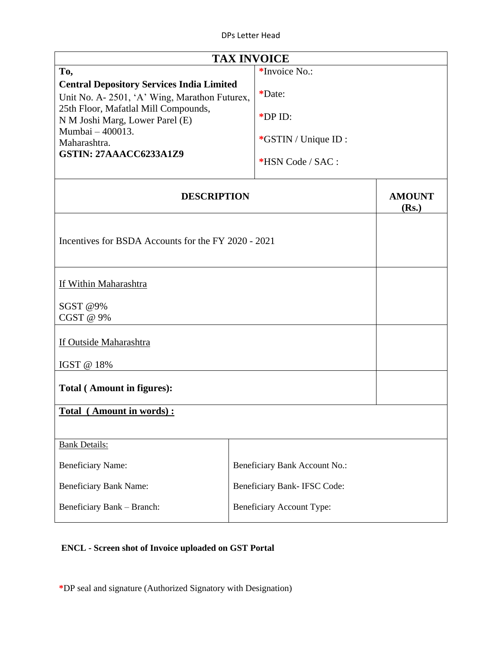| <b>TAX INVOICE</b>                                                                                                                                                                                                                               |                                                              |  |  |  |  |  |  |  |
|--------------------------------------------------------------------------------------------------------------------------------------------------------------------------------------------------------------------------------------------------|--------------------------------------------------------------|--|--|--|--|--|--|--|
| To,                                                                                                                                                                                                                                              |                                                              |  |  |  |  |  |  |  |
| <b>Central Depository Services India Limited</b><br>Unit No. A-2501, 'A' Wing, Marathon Futurex,<br>25th Floor, Mafatlal Mill Compounds,<br>N M Joshi Marg, Lower Parel (E)<br>Mumbai - 400013.<br>Maharashtra.<br><b>GSTIN: 27AAACC6233A1Z9</b> | *Date:<br>*DP ID:<br>*GSTIN / Unique ID:<br>*HSN Code / SAC: |  |  |  |  |  |  |  |
| <b>DESCRIPTION</b>                                                                                                                                                                                                                               | <b>AMOUNT</b><br>(Rs.)                                       |  |  |  |  |  |  |  |
| Incentives for BSDA Accounts for the FY 2020 - 2021                                                                                                                                                                                              |                                                              |  |  |  |  |  |  |  |
| If Within Maharashtra                                                                                                                                                                                                                            |                                                              |  |  |  |  |  |  |  |
| SGST @9%<br>CGST @ 9%                                                                                                                                                                                                                            |                                                              |  |  |  |  |  |  |  |
| If Outside Maharashtra                                                                                                                                                                                                                           |                                                              |  |  |  |  |  |  |  |
| IGST @ 18%                                                                                                                                                                                                                                       |                                                              |  |  |  |  |  |  |  |
| Total (Amount in figures):                                                                                                                                                                                                                       |                                                              |  |  |  |  |  |  |  |
| Total (Amount in words):                                                                                                                                                                                                                         |                                                              |  |  |  |  |  |  |  |
| <b>Bank Details:</b>                                                                                                                                                                                                                             |                                                              |  |  |  |  |  |  |  |
| <b>Beneficiary Name:</b>                                                                                                                                                                                                                         | Beneficiary Bank Account No.:                                |  |  |  |  |  |  |  |
| <b>Beneficiary Bank Name:</b>                                                                                                                                                                                                                    | Beneficiary Bank- IFSC Code:                                 |  |  |  |  |  |  |  |
| Beneficiary Bank - Branch:                                                                                                                                                                                                                       |                                                              |  |  |  |  |  |  |  |

## **ENCL - Screen shot of Invoice uploaded on GST Portal**

**\***DP seal and signature (Authorized Signatory with Designation)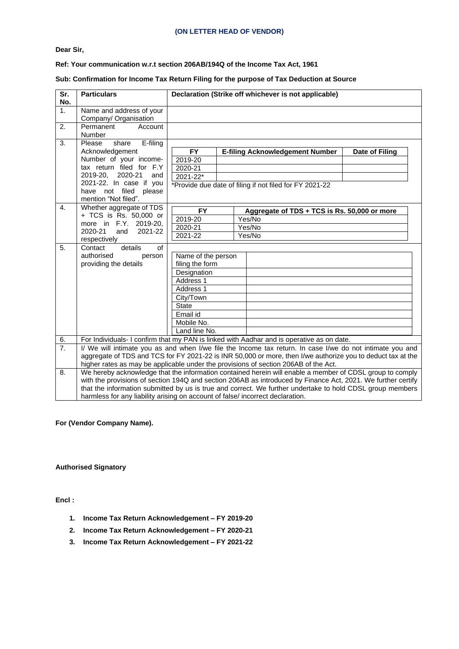#### **(ON LETTER HEAD OF VENDOR)**

**Dear Sir,**

#### **Ref: Your communication w.r.t section 206AB/194Q of the Income Tax Act, 1961**

#### **Sub: Confirmation for Income Tax Return Filing for the purpose of Tax Deduction at Source**

| Sr.<br>No.       | <b>Particulars</b>                                                                                        |                                                                                     | Declaration (Strike off whichever is not applicable)                                                         |                |  |  |  |  |  |  |  |
|------------------|-----------------------------------------------------------------------------------------------------------|-------------------------------------------------------------------------------------|--------------------------------------------------------------------------------------------------------------|----------------|--|--|--|--|--|--|--|
| 1.               | Name and address of your                                                                                  |                                                                                     |                                                                                                              |                |  |  |  |  |  |  |  |
|                  | Company/ Organisation                                                                                     |                                                                                     |                                                                                                              |                |  |  |  |  |  |  |  |
| 2.               | Permanent<br>Account                                                                                      |                                                                                     |                                                                                                              |                |  |  |  |  |  |  |  |
|                  | Number                                                                                                    |                                                                                     |                                                                                                              |                |  |  |  |  |  |  |  |
| 3.               | Please<br>E-filing<br>share                                                                               |                                                                                     |                                                                                                              |                |  |  |  |  |  |  |  |
|                  | Acknowledgement                                                                                           | <b>FY</b>                                                                           | <b>E-filing Acknowledgement Number</b>                                                                       | Date of Filing |  |  |  |  |  |  |  |
|                  | Number of your income-                                                                                    | 2019-20                                                                             |                                                                                                              |                |  |  |  |  |  |  |  |
|                  | tax return filed for F.Y                                                                                  | 2020-21                                                                             |                                                                                                              |                |  |  |  |  |  |  |  |
|                  | 2019-20,<br>2020-21<br>and                                                                                | $2021 - 22*$                                                                        |                                                                                                              |                |  |  |  |  |  |  |  |
|                  | 2021-22. In case if you                                                                                   |                                                                                     | *Provide due date of filing if not filed for FY 2021-22                                                      |                |  |  |  |  |  |  |  |
|                  | have not filed please                                                                                     |                                                                                     |                                                                                                              |                |  |  |  |  |  |  |  |
|                  | mention "Not filed".                                                                                      |                                                                                     |                                                                                                              |                |  |  |  |  |  |  |  |
| $\mathbf{4}$ .   | Whether aggregate of TDS                                                                                  | <b>FY</b>                                                                           | Aggregate of TDS + TCS is Rs. 50,000 or more                                                                 |                |  |  |  |  |  |  |  |
|                  | + TCS is Rs. 50,000 or<br>more in F.Y. 2019-20,                                                           | 2019-20                                                                             | Yes/No                                                                                                       |                |  |  |  |  |  |  |  |
|                  | 2020-21<br>2021-22<br>and                                                                                 | 2020-21                                                                             | Yes/No                                                                                                       |                |  |  |  |  |  |  |  |
|                  | respectively                                                                                              | 2021-22                                                                             | Yes/No                                                                                                       |                |  |  |  |  |  |  |  |
| 5.               | Contact<br>details<br>of                                                                                  |                                                                                     |                                                                                                              |                |  |  |  |  |  |  |  |
|                  | authorised<br>person                                                                                      | Name of the person                                                                  |                                                                                                              |                |  |  |  |  |  |  |  |
|                  | providing the details                                                                                     | filing the form                                                                     |                                                                                                              |                |  |  |  |  |  |  |  |
|                  |                                                                                                           | Designation                                                                         |                                                                                                              |                |  |  |  |  |  |  |  |
|                  |                                                                                                           | Address 1                                                                           |                                                                                                              |                |  |  |  |  |  |  |  |
|                  |                                                                                                           | Address 1                                                                           |                                                                                                              |                |  |  |  |  |  |  |  |
|                  |                                                                                                           | City/Town                                                                           |                                                                                                              |                |  |  |  |  |  |  |  |
|                  |                                                                                                           | <b>State</b>                                                                        |                                                                                                              |                |  |  |  |  |  |  |  |
|                  |                                                                                                           | Email id                                                                            |                                                                                                              |                |  |  |  |  |  |  |  |
|                  |                                                                                                           | Mobile No.                                                                          |                                                                                                              |                |  |  |  |  |  |  |  |
|                  |                                                                                                           | Land line No.                                                                       |                                                                                                              |                |  |  |  |  |  |  |  |
| 6.               |                                                                                                           |                                                                                     | For Individuals- I confirm that my PAN is linked with Aadhar and is operative as on date.                    |                |  |  |  |  |  |  |  |
| $\overline{7}$ . |                                                                                                           |                                                                                     | I/ We will intimate you as and when I/we file the Income tax return. In case I/we do not intimate you and    |                |  |  |  |  |  |  |  |
|                  |                                                                                                           |                                                                                     | aggregate of TDS and TCS for FY 2021-22 is INR 50,000 or more, then I/we authorize you to deduct tax at the  |                |  |  |  |  |  |  |  |
|                  |                                                                                                           | higher rates as may be applicable under the provisions of section 206AB of the Act. |                                                                                                              |                |  |  |  |  |  |  |  |
| 8.               |                                                                                                           |                                                                                     | We hereby acknowledge that the information contained herein will enable a member of CDSL group to comply     |                |  |  |  |  |  |  |  |
|                  |                                                                                                           |                                                                                     | with the provisions of section 194Q and section 206AB as introduced by Finance Act, 2021. We further certify |                |  |  |  |  |  |  |  |
|                  | that the information submitted by us is true and correct. We further undertake to hold CDSL group members |                                                                                     |                                                                                                              |                |  |  |  |  |  |  |  |
|                  | harmless for any liability arising on account of false/ incorrect declaration.                            |                                                                                     |                                                                                                              |                |  |  |  |  |  |  |  |

#### **For (Vendor Company Name).**

#### **Authorised Signatory**

**Encl :**

- **1. Income Tax Return Acknowledgement – FY 2019-20**
- **2. Income Tax Return Acknowledgement – FY 2020-21**
- **3. Income Tax Return Acknowledgement – FY 2021-22**